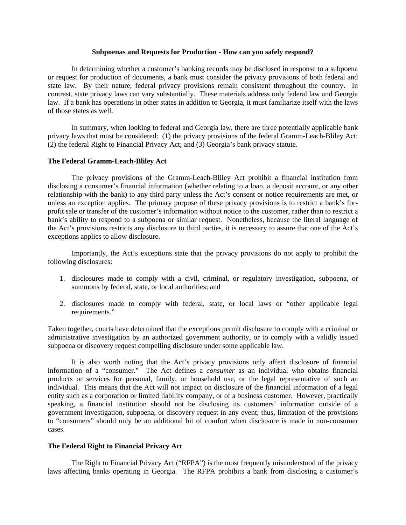#### **Subpoenas and Requests for Production - How can you safely respond?**

 In determining whether a customer's banking records may be disclosed in response to a subpoena or request for production of documents, a bank must consider the privacy provisions of both federal and state law. By their nature, federal privacy provisions remain consistent throughout the country. In contrast, state privacy laws can vary substantially. These materials address only federal law and Georgia law. If a bank has operations in other states in addition to Georgia, it must familiarize itself with the laws of those states as well.

 In summary, when looking to federal and Georgia law, there are three potentially applicable bank privacy laws that must be considered: (1) the privacy provisions of the federal Gramm-Leach-Bliley Act; (2) the federal Right to Financial Privacy Act; and (3) Georgia's bank privacy statute.

### **The Federal Gramm-Leach-Bliley Act**

 The privacy provisions of the Gramm-Leach-Bliley Act prohibit a financial institution from disclosing a consumer's financial information (whether relating to a loan, a deposit account, or any other relationship with the bank) to any third party unless the Act's consent or notice requirements are met, or unless an exception applies. The primary purpose of these privacy provisions is to restrict a bank's forprofit sale or transfer of the customer's information without notice to the customer, rather than to restrict a bank's ability to respond to a subpoena or similar request. Nonetheless, because the literal language of the Act's provisions restricts any disclosure to third parties, it is necessary to assure that one of the Act's exceptions applies to allow disclosure.

 Importantly, the Act's exceptions state that the privacy provisions do not apply to prohibit the following disclosures:

- 1. disclosures made to comply with a civil, criminal, or regulatory investigation, subpoena, or summons by federal, state, or local authorities; and
- 2. disclosures made to comply with federal, state, or local laws or "other applicable legal requirements."

Taken together, courts have determined that the exceptions permit disclosure to comply with a criminal or administrative investigation by an authorized government authority, or to comply with a validly issued subpoena or discovery request compelling disclosure under some applicable law.

 It is also worth noting that the Act's privacy provisions only affect disclosure of financial information of a "consumer." The Act defines a *consumer* as an individual who obtains financial products or services for personal, family, or household use, or the legal representative of such an individual. This means that the Act will not impact on disclosure of the financial information of a legal entity such as a corporation or limited liability company, or of a business customer. However, practically speaking, a financial institution should not be disclosing its customers' information outside of a government investigation, subpoena, or discovery request in any event; thus, limitation of the provisions to "consumers" should only be an additional bit of comfort when disclosure is made in non-consumer cases.

# **The Federal Right to Financial Privacy Act**

 The Right to Financial Privacy Act ("RFPA") is the most frequently misunderstood of the privacy laws affecting banks operating in Georgia. The RFPA prohibits a bank from disclosing a customer's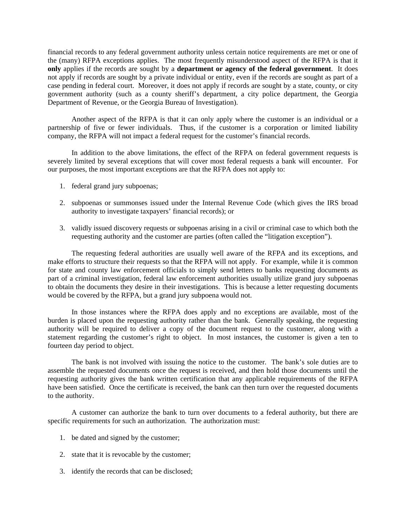financial records to any federal government authority unless certain notice requirements are met or one of the (many) RFPA exceptions applies. The most frequently misunderstood aspect of the RFPA is that it **only** applies if the records are sought by a **department or agency of the federal government**. It does not apply if records are sought by a private individual or entity, even if the records are sought as part of a case pending in federal court. Moreover, it does not apply if records are sought by a state, county, or city government authority (such as a county sheriff's department, a city police department, the Georgia Department of Revenue, or the Georgia Bureau of Investigation).

 Another aspect of the RFPA is that it can only apply where the customer is an individual or a partnership of five or fewer individuals. Thus, if the customer is a corporation or limited liability company, the RFPA will not impact a federal request for the customer's financial records.

 In addition to the above limitations, the effect of the RFPA on federal government requests is severely limited by several exceptions that will cover most federal requests a bank will encounter. For our purposes, the most important exceptions are that the RFPA does not apply to:

- 1. federal grand jury subpoenas;
- 2. subpoenas or summonses issued under the Internal Revenue Code (which gives the IRS broad authority to investigate taxpayers' financial records); or
- 3. validly issued discovery requests or subpoenas arising in a civil or criminal case to which both the requesting authority and the customer are parties (often called the "litigation exception").

 The requesting federal authorities are usually well aware of the RFPA and its exceptions, and make efforts to structure their requests so that the RFPA will not apply. For example, while it is common for state and county law enforcement officials to simply send letters to banks requesting documents as part of a criminal investigation, federal law enforcement authorities usually utilize grand jury subpoenas to obtain the documents they desire in their investigations. This is because a letter requesting documents would be covered by the RFPA, but a grand jury subpoena would not.

 In those instances where the RFPA does apply and no exceptions are available, most of the burden is placed upon the requesting authority rather than the bank. Generally speaking, the requesting authority will be required to deliver a copy of the document request to the customer, along with a statement regarding the customer's right to object. In most instances, the customer is given a ten to fourteen day period to object.

 The bank is not involved with issuing the notice to the customer. The bank's sole duties are to assemble the requested documents once the request is received, and then hold those documents until the requesting authority gives the bank written certification that any applicable requirements of the RFPA have been satisfied. Once the certificate is received, the bank can then turn over the requested documents to the authority.

 A customer can authorize the bank to turn over documents to a federal authority, but there are specific requirements for such an authorization. The authorization must:

- 1. be dated and signed by the customer;
- 2. state that it is revocable by the customer;
- 3. identify the records that can be disclosed;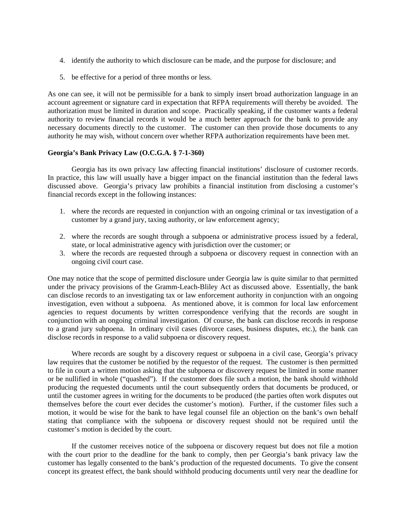- 4. identify the authority to which disclosure can be made, and the purpose for disclosure; and
- 5. be effective for a period of three months or less.

As one can see, it will not be permissible for a bank to simply insert broad authorization language in an account agreement or signature card in expectation that RFPA requirements will thereby be avoided. The authorization must be limited in duration and scope. Practically speaking, if the customer wants a federal authority to review financial records it would be a much better approach for the bank to provide any necessary documents directly to the customer. The customer can then provide those documents to any authority he may wish, without concern over whether RFPA authorization requirements have been met.

# **Georgia's Bank Privacy Law (O.C.G.A. § 7-1-360)**

 Georgia has its own privacy law affecting financial institutions' disclosure of customer records. In practice, this law will usually have a bigger impact on the financial institution than the federal laws discussed above. Georgia's privacy law prohibits a financial institution from disclosing a customer's financial records except in the following instances:

- 1. where the records are requested in conjunction with an ongoing criminal or tax investigation of a customer by a grand jury, taxing authority, or law enforcement agency;
- 2. where the records are sought through a subpoena or administrative process issued by a federal, state, or local administrative agency with jurisdiction over the customer; or
- 3. where the records are requested through a subpoena or discovery request in connection with an ongoing civil court case.

One may notice that the scope of permitted disclosure under Georgia law is quite similar to that permitted under the privacy provisions of the Gramm-Leach-Bliley Act as discussed above. Essentially, the bank can disclose records to an investigating tax or law enforcement authority in conjunction with an ongoing investigation, even without a subpoena. As mentioned above, it is common for local law enforcement agencies to request documents by written correspondence verifying that the records are sought in conjunction with an ongoing criminal investigation. Of course, the bank can disclose records in response to a grand jury subpoena. In ordinary civil cases (divorce cases, business disputes, etc.), the bank can disclose records in response to a valid subpoena or discovery request.

 Where records are sought by a discovery request or subpoena in a civil case, Georgia's privacy law requires that the customer be notified by the requestor of the request. The customer is then permitted to file in court a written motion asking that the subpoena or discovery request be limited in some manner or be nullified in whole ("quashed"). If the customer does file such a motion, the bank should withhold producing the requested documents until the court subsequently orders that documents be produced, or until the customer agrees in writing for the documents to be produced (the parties often work disputes out themselves before the court ever decides the customer's motion). Further, if the customer files such a motion, it would be wise for the bank to have legal counsel file an objection on the bank's own behalf stating that compliance with the subpoena or discovery request should not be required until the customer's motion is decided by the court.

 If the customer receives notice of the subpoena or discovery request but does not file a motion with the court prior to the deadline for the bank to comply, then per Georgia's bank privacy law the customer has legally consented to the bank's production of the requested documents. To give the consent concept its greatest effect, the bank should withhold producing documents until very near the deadline for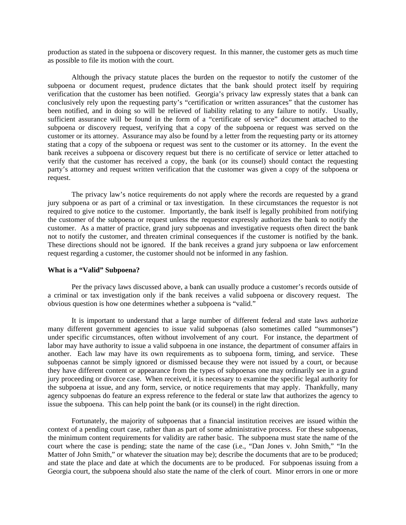production as stated in the subpoena or discovery request. In this manner, the customer gets as much time as possible to file its motion with the court.

 Although the privacy statute places the burden on the requestor to notify the customer of the subpoena or document request, prudence dictates that the bank should protect itself by requiring verification that the customer has been notified. Georgia's privacy law expressly states that a bank can conclusively rely upon the requesting party's "certification or written assurances" that the customer has been notified, and in doing so will be relieved of liability relating to any failure to notify. Usually, sufficient assurance will be found in the form of a "certificate of service" document attached to the subpoena or discovery request, verifying that a copy of the subpoena or request was served on the customer or its attorney. Assurance may also be found by a letter from the requesting party or its attorney stating that a copy of the subpoena or request was sent to the customer or its attorney. In the event the bank receives a subpoena or discovery request but there is no certificate of service or letter attached to verify that the customer has received a copy, the bank (or its counsel) should contact the requesting party's attorney and request written verification that the customer was given a copy of the subpoena or request.

 The privacy law's notice requirements do not apply where the records are requested by a grand jury subpoena or as part of a criminal or tax investigation. In these circumstances the requestor is not required to give notice to the customer. Importantly, the bank itself is legally prohibited from notifying the customer of the subpoena or request unless the requestor expressly authorizes the bank to notify the customer. As a matter of practice, grand jury subpoenas and investigative requests often direct the bank not to notify the customer, and threaten criminal consequences if the customer is notified by the bank. These directions should not be ignored. If the bank receives a grand jury subpoena or law enforcement request regarding a customer, the customer should not be informed in any fashion.

## **What is a "Valid" Subpoena?**

 Per the privacy laws discussed above, a bank can usually produce a customer's records outside of a criminal or tax investigation only if the bank receives a valid subpoena or discovery request. The obvious question is how one determines whether a subpoena is "valid."

 It is important to understand that a large number of different federal and state laws authorize many different government agencies to issue valid subpoenas (also sometimes called "summonses") under specific circumstances, often without involvement of any court. For instance, the department of labor may have authority to issue a valid subpoena in one instance, the department of consumer affairs in another. Each law may have its own requirements as to subpoena form, timing, and service. These subpoenas cannot be simply ignored or dismissed because they were not issued by a court, or because they have different content or appearance from the types of subpoenas one may ordinarily see in a grand jury proceeding or divorce case. When received, it is necessary to examine the specific legal authority for the subpoena at issue, and any form, service, or notice requirements that may apply. Thankfully, many agency subpoenas do feature an express reference to the federal or state law that authorizes the agency to issue the subpoena. This can help point the bank (or its counsel) in the right direction.

 Fortunately, the majority of subpoenas that a financial institution receives are issued within the context of a pending court case, rather than as part of some administrative process. For these subpoenas, the minimum content requirements for validity are rather basic. The subpoena must state the name of the court where the case is pending; state the name of the case (i.e., "Dan Jones v. John Smith," "In the Matter of John Smith," or whatever the situation may be); describe the documents that are to be produced; and state the place and date at which the documents are to be produced. For subpoenas issuing from a Georgia court, the subpoena should also state the name of the clerk of court. Minor errors in one or more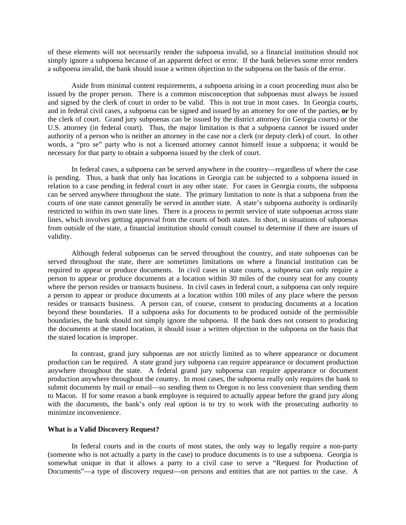of these elements will not necessarily render the subpoena invalid, so a financial institution should not simply ignore a subpoena because of an apparent defect or error. If the bank believes some error renders a subpoena invalid, the bank should issue a written objection to the subpoena on the basis of the error.

 Aside from minimal content requirements, a subpoena arising in a court proceeding must also be issued by the proper person. There is a common misconception that subpoenas must always be issued and signed by the clerk of court in order to be valid. This is not true in most cases. In Georgia courts, and in federal civil cases, a subpoena can be signed and issued by an attorney for one of the parties, **or** by the clerk of court. Grand jury subpoenas can be issued by the district attorney (in Georgia courts) or the U.S. attorney (in federal court). Thus, the major limitation is that a subpoena cannot be issued under authority of a person who is neither an attorney in the case nor a clerk (or deputy clerk) of court. In other words, a "pro se" party who is not a licensed attorney cannot himself issue a subpoena; it would be necessary for that party to obtain a subpoena issued by the clerk of court.

 In federal cases, a subpoena can be served anywhere in the country—regardless of where the case is pending. Thus, a bank that only has locations in Georgia can be subjected to a subpoena issued in relation to a case pending in federal court in any other state. For cases in Georgia courts, the subpoena can be served anywhere throughout the state. The primary limitation to note is that a subpoena from the courts of one state cannot generally be served in another state. A state's subpoena authority is ordinarily restricted to within its own state lines. There is a process to permit service of state subpoenas across state lines, which involves getting approval from the courts of both states. In short, in situations of subpoenas from outside of the state, a financial institution should consult counsel to determine if there are issues of validity.

 Although federal subpoenas can be served throughout the country, and state subpoenas can be served throughout the state, there are sometimes limitations on where a financial institution can be required to appear or produce documents. In civil cases in state courts, a subpoena can only require a person to appear or produce documents at a location within 30 miles of the county seat for any county where the person resides or transacts business. In civil cases in federal court, a subpoena can only require a person to appear or produce documents at a location within 100 miles of any place where the person resides or transacts business. A person can, of course, consent to producing documents at a location beyond these boundaries. If a subpoena asks for documents to be produced outside of the permissible boundaries, the bank should not simply ignore the subpoena. If the bank does not consent to producing the documents at the stated location, it should issue a written objection to the subpoena on the basis that the stated location is improper.

 In contrast, grand jury subpoenas are not strictly limited as to where appearance or document production can be required. A state grand jury subpoena can require appearance or document production anywhere throughout the state. A federal grand jury subpoena can require appearance or document production anywhere throughout the country. In most cases, the subpoena really only requires the bank to submit documents by mail or email—so sending them to Oregon is no less convenient than sending them to Macon. If for some reason a bank employee is required to actually appear before the grand jury along with the documents, the bank's only real option is to try to work with the prosecuting authority to minimize inconvenience.

#### **What is a Valid Discovery Request?**

 In federal courts and in the courts of most states, the only way to legally require a non-party (someone who is not actually a party in the case) to produce documents is to use a subpoena. Georgia is somewhat unique in that it allows a party to a civil case to serve a "Request for Production of Documents"—a type of discovery request—on persons and entities that are not parties to the case. A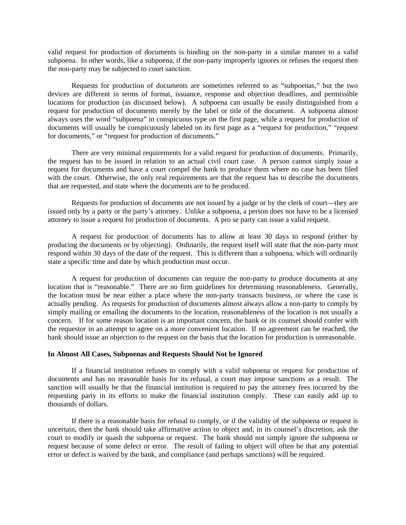valid request for production of documents is binding on the non-party in a similar manner to a valid subpoena. In other words, like a subpoena, if the non-party improperly ignores or refuses the request then the non-party may be subjected to court sanction.

 Requests for production of documents are sometimes referred to as "subpoenas," but the two devices are different in terms of format, issuance, response and objection deadlines, and permissible locations for production (as discussed below). A subpoena can usually be easily distinguished from a request for production of documents merely by the label or title of the document. A subpoena almost always uses the word "subpoena" in conspicuous type on the first page, while a request for production of documents will usually be conspicuously labeled on its first page as a "request for production," "request for documents," or "request for production of documents."

 There are very minimal requirements for a valid request for production of documents. Primarily, the request has to be issued in relation to an actual civil court case. A person cannot simply issue a request for documents and have a court compel the bank to produce them where no case has been filed with the court. Otherwise, the only real requirements are that the request has to describe the documents that are requested, and state where the documents are to be produced.

 Requests for production of documents are not issued by a judge or by the clerk of court—they are issued only by a party or the party's attorney. Unlike a subpoena, a person does not have to be a licensed attorney to issue a request for production of documents. A pro se party can issue a valid request.

 A request for production of documents has to allow at least 30 days to respond (either by producing the documents or by objecting). Ordinarily, the request itself will state that the non-party must respond within 30 days of the date of the request. This is different than a subpoena, which will ordinarily state a specific time and date by which production must occur.

 A request for production of documents can require the non-party to produce documents at any location that is "reasonable." There are no firm guidelines for determining reasonableness. Generally, the location must be near either a place where the non-party transacts business, or where the case is actually pending. As requests for production of documents almost always allow a non-party to comply by simply mailing or emailing the documents to the location, reasonableness of the location is not usually a concern. If for some reason location is an important concern, the bank or its counsel should confer with the requestor in an attempt to agree on a more convenient location. If no agreement can be reached, the bank should issue an objection to the request on the basis that the location for production is unreasonable.

## **In Almost All Cases, Subpoenas and Requests Should Not be Ignored**

 If a financial institution refuses to comply with a valid subpoena or request for production of documents and has no reasonable basis for its refusal, a court may impose sanctions as a result. The sanction will usually be that the financial institution is required to pay the attorney fees incurred by the requesting party in its efforts to make the financial institution comply. These can easily add up to thousands of dollars.

 If there is a reasonable basis for refusal to comply, or if the validity of the subpoena or request is uncertain, then the bank should take affirmative action to object and, in its counsel's discretion, ask the court to modify or quash the subpoena or request. The bank should not simply ignore the subpoena or request because of some defect or error. The result of failing to object will often be that any potential error or defect is waived by the bank, and compliance (and perhaps sanctions) will be required.